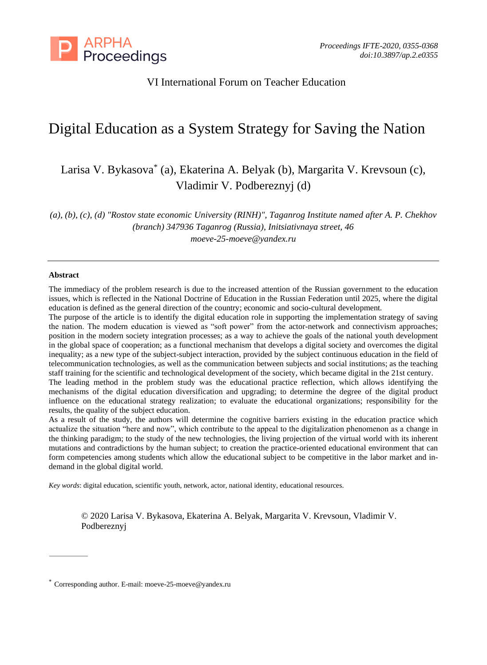

# VI International Forum on Teacher Education

# Digital Education as a System Strategy for Saving the Nation

Larisa V. Bykasova\* (a), Ekaterina A. Belyak (b), Margarita V. Krevsoun (c), Vladimir V. Podbereznyj (d)

*(a), (b), (c), (d) "Rostov state economic University (RINH)", Taganrog Institute named after A. P. Chekhov (branch) 347936 Taganrog (Russia), Initsiativnaya street, 46 moeve-25-moeve@yandex.ru*

#### **Abstract**

The immediacy of the problem research is due to the increased attention of the Russian government to the education issues, which is reflected in the National Doctrine of Education in the Russian Federation until 2025, where the digital education is defined as the general direction of the country; economic and socio-cultural development.

The purpose of the article is to identify the digital education role in supporting the implementation strategy of saving the nation. The modern education is viewed as "soft power" from the actor-network and connectivism approaches; position in the modern society integration processes; as a way to achieve the goals of the national youth development in the global space of cooperation; as a functional mechanism that develops a digital society and overcomes the digital inequality; as a new type of the subject-subject interaction, provided by the subject continuous education in the field of telecommunication technologies, as well as the communication between subjects and social institutions; as the teaching staff training for the scientific and technological development of the society, which became digital in the 21st century.

The leading method in the problem study was the educational practice reflection, which allows identifying the mechanisms of the digital education diversification and upgrading; to determine the degree of the digital product influence on the educational strategy realization; to evaluate the educational organizations; responsibility for the results, the quality of the subject education.

As a result of the study, the authors will determine the cognitive barriers existing in the education practice which actualize the situation "here and now", which contribute to the appeal to the digitalization phenomenon as a change in the thinking paradigm; to the study of the new technologies, the living projection of the virtual world with its inherent mutations and contradictions by the human subject; to creation the practice-oriented educational environment that can form competencies among students which allow the educational subject to be competitive in the labor market and indemand in the global digital world.

*Key words*: digital education, scientific youth, network, actor, national identity, educational resources.

© 2020 Larisa V. Bykasova, Ekaterina A. Belyak, Margarita V. Krevsoun, Vladimir V. Podbereznyj

<sup>\*</sup> Corresponding author. E-mail[: moeve-25-moeve@yandex.ru](mailto:moeve-25-moeve@yandex.ru)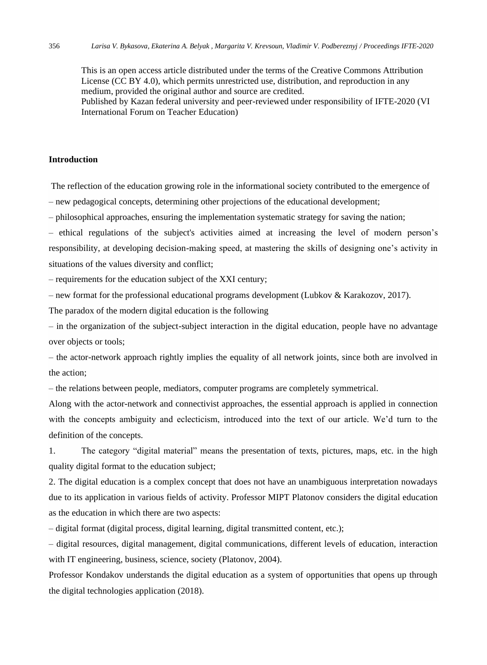This is an open access article distributed under the terms of the Creative Commons Attribution License (CC BY 4.0), which permits unrestricted use, distribution, and reproduction in any medium, provided the original author and source are credited. Published by Kazan federal university and peer-reviewed under responsibility of IFTE-2020 (VI International Forum on Teacher Education)

#### **Introduction**

The reflection of the education growing role in the informational society contributed to the emergence of

– new pedagogical concepts, determining other projections of the educational development;

– philosophical approaches, ensuring the implementation systematic strategy for saving the nation;

– ethical regulations of the subject's activities aimed at increasing the level of modern person's responsibility, at developing decision-making speed, at mastering the skills of designing one's activity in situations of the values diversity and conflict;

– requirements for the education subject of the XXI century;

– new format for the professional educational programs development (Lubkov & Karakozov, 2017).

The paradox of the modern digital education is the following

– in the organization of the subject-subject interaction in the digital education, people have no advantage over objects or tools;

– the actor-network approach rightly implies the equality of all network joints, since both are involved in the action;

– the relations between people, mediators, computer programs are completely symmetrical.

Along with the actor-network and connectivist approaches, the essential approach is applied in connection with the concepts ambiguity and eclecticism, introduced into the text of our article. We'd turn to the definition of the concepts.

1. The category "digital material" means the presentation of texts, pictures, maps, etc. in the high quality digital format to the education subject;

2. The digital education is a complex concept that does not have an unambiguous interpretation nowadays due to its application in various fields of activity. Professor MIPT Platonov considers the digital education as the education in which there are two aspects:

– digital format (digital process, digital learning, digital transmitted content, etc.);

– digital resources, digital management, digital communications, different levels of education, interaction with IT engineering, business, science, society (Platonov, 2004).

Professor Kondakov understands the digital education as a system of opportunities that opens up through the digital technologies application (2018).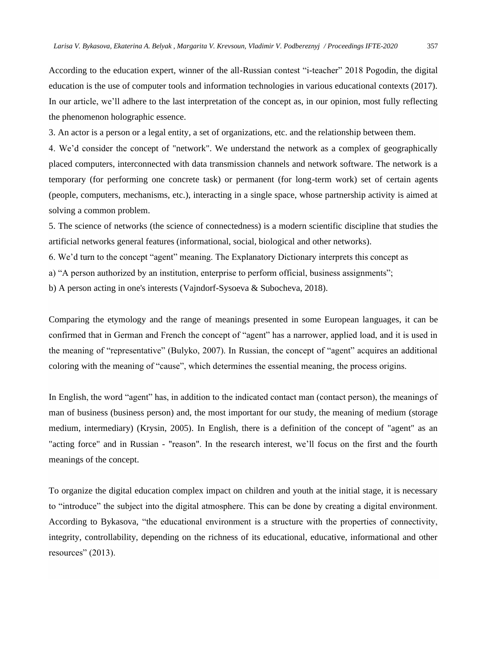According to the education expert, winner of the all-Russian contest "i-teacher" 2018 Pogodin, the digital education is the use of computer tools and information technologies in various educational contexts (2017). In our article, we'll adhere to the last interpretation of the concept as, in our opinion, most fully reflecting the phenomenon holographic essence.

3. An actor is a person or a legal entity, a set of organizations, etc. and the relationship between them.

4. We'd consider the concept of "network". We understand the network as a complex of geographically placed computers, interconnected with data transmission channels and network software. The network is a temporary (for performing one concrete task) or permanent (for long-term work) set of certain agents (people, computers, mechanisms, etc.), interacting in a single space, whose partnership activity is aimed at solving a common problem.

5. The science of networks (the science of connectedness) is a modern scientific discipline that studies the artificial networks general features (informational, social, biological and other networks).

6. We'd turn to the concept "agent" meaning. The Explanatory Dictionary interprets this concept as

- а) "A person authorized by an institution, enterprise to perform official, business assignments";
- b) A person acting in one's interests (Vajndorf-Sysoeva & Subocheva, 2018).

Comparing the etymology and the range of meanings presented in some European languages, it can be confirmed that in German and French the concept of "agent" has a narrower, applied load, and it is used in the meaning of "representative" (Bulyko, 2007). In Russian, the concept of "agent" acquires an additional coloring with the meaning of "cause", which determines the essential meaning, the process origins.

In English, the word "agent" has, in addition to the indicated contact man (contact person), the meanings of man of business (business person) and, the most important for our study, the meaning of medium (storage medium, intermediary) (Krysin, 2005). In English, there is a definition of the concept of "agent" as an "acting force" and in Russian - "reason". In the research interest, we'll focus on the first and the fourth meanings of the concept.

To organize the digital education complex impact on children and youth at the initial stage, it is necessary to "introduce" the subject into the digital atmosphere. This can be done by creating a digital environment. According to Bykasova, "the educational environment is a structure with the properties of connectivity, integrity, controllability, depending on the richness of its educational, educative, informational and other resources" (2013).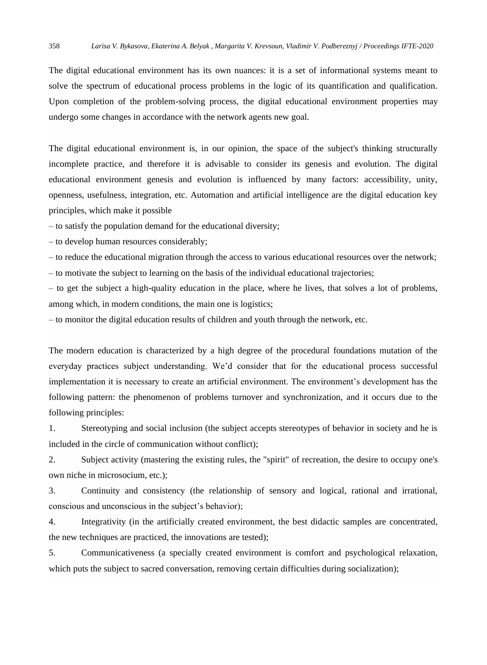The digital educational environment has its own nuances: it is a set of informational systems meant to solve the spectrum of educational process problems in the logic of its quantification and qualification. Upon completion of the problem-solving process, the digital educational environment properties may undergo some changes in accordance with the network agents new goal.

The digital educational environment is, in our opinion, the space of the subject's thinking structurally incomplete practice, and therefore it is advisable to consider its genesis and evolution. The digital educational environment genesis and evolution is influenced by many factors: accessibility, unity, openness, usefulness, integration, etc. Automation and artificial intelligence are the digital education key principles, which make it possible

– to satisfy the population demand for the educational diversity;

– to develop human resources considerably;

– to reduce the educational migration through the access to various educational resources over the network; – to motivate the subject to learning on the basis of the individual educational trajectories;

– to get the subject a high-quality education in the place, where he lives, that solves a lot of problems, among which, in modern conditions, the main one is logistics;

– to monitor the digital education results of children and youth through the network, etc.

The modern education is characterized by a high degree of the procedural foundations mutation of the everyday practices subject understanding. We'd consider that for the educational process successful implementation it is necessary to create an artificial environment. The environment's development has the following pattern: the phenomenon of problems turnover and synchronization, and it occurs due to the following principles:

1. Stereotyping and social inclusion (the subject accepts stereotypes of behavior in society and he is included in the circle of communication without conflict);

2. Subject activity (mastering the existing rules, the "spirit" of recreation, the desire to occupy one's own niche in microsocium, etc.);

3. Continuity and consistency (the relationship of sensory and logical, rational and irrational, conscious and unconscious in the subject's behavior);

4. Integrativity (in the artificially created environment, the best didactic samples are concentrated, the new techniques are practiced, the innovations are tested);

5. Communicativeness (a specially created environment is comfort and psychological relaxation, which puts the subject to sacred conversation, removing certain difficulties during socialization);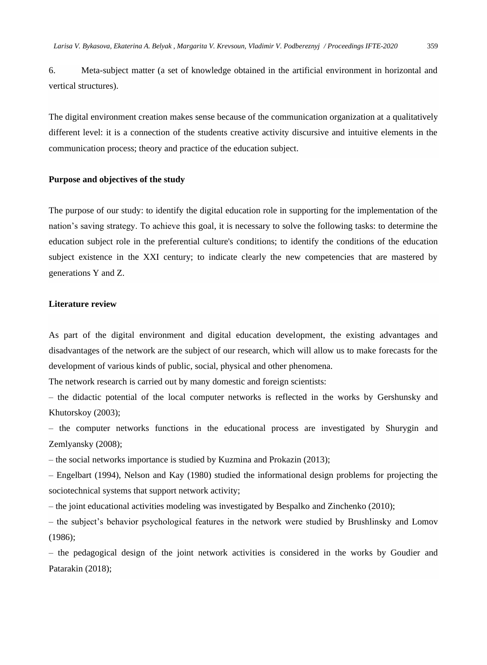6. Meta-subject matter (a set of knowledge obtained in the artificial environment in horizontal and vertical structures).

The digital environment creation makes sense because of the communication organization at a qualitatively different level: it is a connection of the students creative activity discursive and intuitive elements in the communication process; theory and practice of the education subject.

#### **Purpose and objectives of the study**

The purpose of our study: to identify the digital education role in supporting for the implementation of the nation's saving strategy. To achieve this goal, it is necessary to solve the following tasks: to determine the education subject role in the preferential culture's conditions; to identify the conditions of the education subject existence in the XXI century; to indicate clearly the new competencies that are mastered by generations Y and Z.

## **Literature review**

As part of the digital environment and digital education development, the existing advantages and disadvantages of the network are the subject of our research, which will allow us to make forecasts for the development of various kinds of public, social, physical and other phenomena.

The network research is carried out by many domestic and foreign scientists:

– the didactic potential of the local computer networks is reflected in the works by Gershunsky and Khutorskoy (2003);

– the computer networks functions in the educational process are investigated by Shurygin and Zemlyansky (2008);

– the social networks importance is studied by Kuzmina and Prokazin (2013);

– Engelbart (1994), Nelson and Kay (1980) studied the informational design problems for projecting the sociotechnical systems that support network activity;

– the joint educational activities modeling was investigated by Bespalko and Zinchenko (2010);

– the subject's behavior psychological features in the network were studied by Brushlinsky and Lomov (1986);

– the pedagogical design of the joint network activities is considered in the works by Goudier and Patarakin (2018);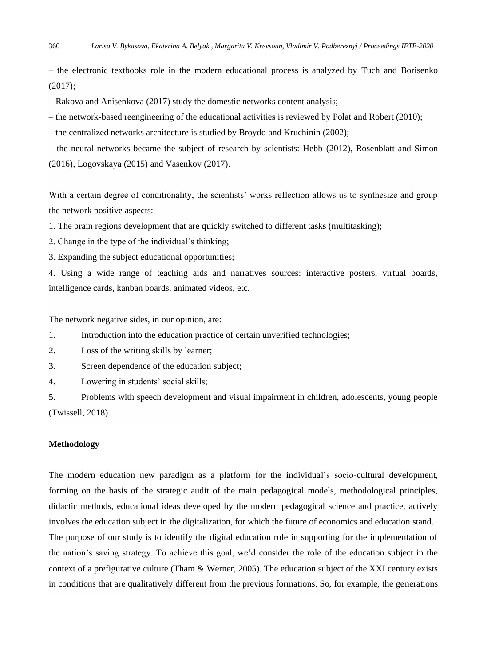– the electronic textbooks role in the modern educational process is analyzed by Tuch and Borisenko (2017);

– Rakova and Anisenkova (2017) study the domestic networks content analysis;

– the network-based reengineering of the educational activities is reviewed by Polat and Robert (2010);

– the centralized networks architecture is studied by Broydo and Kruchinin (2002);

– the neural networks became the subject of research by scientists: Hebb (2012), Rosenblatt and Simon (2016), Logovskaya (2015) and Vasenkov (2017).

With a certain degree of conditionality, the scientists' works reflection allows us to synthesize and group the network positive aspects:

1. The brain regions development that are quickly switched to different tasks (multitasking);

2. Change in the type of the individual's thinking;

3. Expanding the subject educational opportunities;

4. Using a wide range of teaching aids and narratives sources: interactive posters, virtual boards, intelligence cards, kanban boards, animated videos, etc.

The network negative sides, in our opinion, are:

1. Introduction into the education practice of certain unverified technologies;

2. Loss of the writing skills by learner;

3. Screen dependence of the education subject;

4. Lowering in students' social skills;

5. Problems with speech development and visual impairment in children, adolescents, young people (Twissell, 2018).

#### **Methodology**

The modern education new paradigm as a platform for the individual's socio-cultural development, forming on the basis of the strategic audit of the main pedagogical models, methodological principles, didactic methods, educational ideas developed by the modern pedagogical science and practice, actively involves the education subject in the digitalization, for which the future of economics and education stand. The purpose of our study is to identify the digital education role in supporting for the implementation of the nation's saving strategy. To achieve this goal, we'd consider the role of the education subject in the context of a prefigurative culture (Tham & Werner, 2005). The education subject of the XXI century exists in conditions that are qualitatively different from the previous formations. So, for example, the generations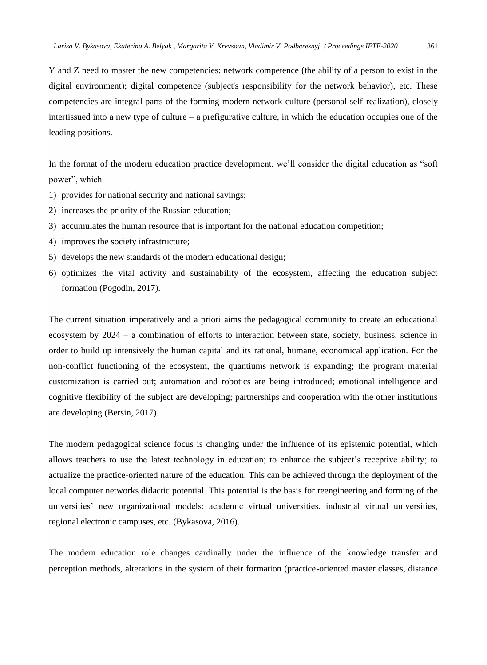Y and Z need to master the new competencies: network competence (the ability of a person to exist in the digital environment); digital competence (subject's responsibility for the network behavior), etc. These competencies are integral parts of the forming modern network culture (personal self-realization), closely intertissued into a new type of culture – a prefigurative culture, in which the education occupies one of the leading positions.

In the format of the modern education practice development, we'll consider the digital education as "soft power", which

- 1) provides for national security and national savings;
- 2) increases the priority of the Russian education;
- 3) accumulates the human resource that is important for the national education competition;
- 4) improves the society infrastructure;
- 5) develops the new standards of the modern educational design;
- 6) optimizes the vital activity and sustainability of the ecosystem, affecting the education subject formation (Pogodin, 2017).

The current situation imperatively and a priori aims the pedagogical community to create an educational ecosystem by 2024 – a combination of efforts to interaction between state, society, business, science in order to build up intensively the human capital and its rational, humane, economical application. For the non-conflict functioning of the ecosystem, the quantiums network is expanding; the program material customization is carried out; automation and robotics are being introduced; emotional intelligence and cognitive flexibility of the subject are developing; partnerships and cooperation with the other institutions are developing (Bersin, 2017).

The modern pedagogical science focus is changing under the influence of its epistemic potential, which allows teachers to use the latest technology in education; to enhance the subject's receptive ability; to actualize the practice-oriented nature of the education. This can be achieved through the deployment of the local computer networks didactic potential. This potential is the basis for reengineering and forming of the universities' new organizational models: academic virtual universities, industrial virtual universities, regional electronic campuses, etc. (Bykasova, 2016).

The modern education role changes cardinally under the influence of the knowledge transfer and perception methods, alterations in the system of their formation (practice-oriented master classes, distance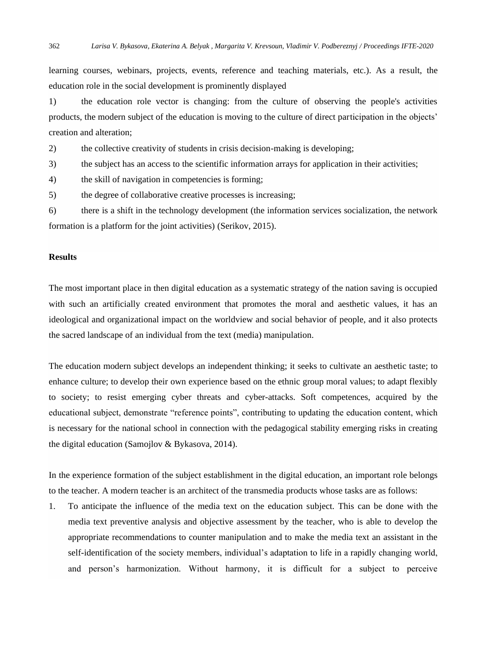learning courses, webinars, projects, events, reference and teaching materials, etc.). As a result, the education role in the social development is prominently displayed

1) the education role vector is changing: from the culture of observing the people's activities products, the modern subject of the education is moving to the culture of direct participation in the objects' creation and alteration;

2) the collective creativity of students in crisis decision-making is developing;

3) the subject has an access to the scientific information arrays for application in their activities;

4) the skill of navigation in competencies is forming;

5) the degree of collaborative creative processes is increasing;

6) there is a shift in the technology development (the information services socialization, the network formation is a platform for the joint activities) (Serikov, 2015).

#### **Results**

The most important place in then digital education as a systematic strategy of the nation saving is occupied with such an artificially created environment that promotes the moral and aesthetic values, it has an ideological and organizational impact on the worldview and social behavior of people, and it also protects the sacred landscape of an individual from the text (media) manipulation.

The education modern subject develops an independent thinking; it seeks to cultivate an aesthetic taste; to enhance culture; to develop their own experience based on the ethnic group moral values; to adapt flexibly to society; to resist emerging cyber threats and cyber-attacks. Soft competences, acquired by the educational subject, demonstrate "reference points", contributing to updating the education content, which is necessary for the national school in connection with the pedagogical stability emerging risks in creating the digital education (Samojlov & Bykasova, 2014).

In the experience formation of the subject establishment in the digital education, an important role belongs to the teacher. A modern teacher is an architect of the transmedia products whose tasks are as follows:

1. To anticipate the influence of the media text on the education subject. This can be done with the media text preventive analysis and objective assessment by the teacher, who is able to develop the appropriate recommendations to counter manipulation and to make the media text an assistant in the self-identification of the society members, individual's adaptation to life in a rapidly changing world, and person's harmonization. Without harmony, it is difficult for a subject to perceive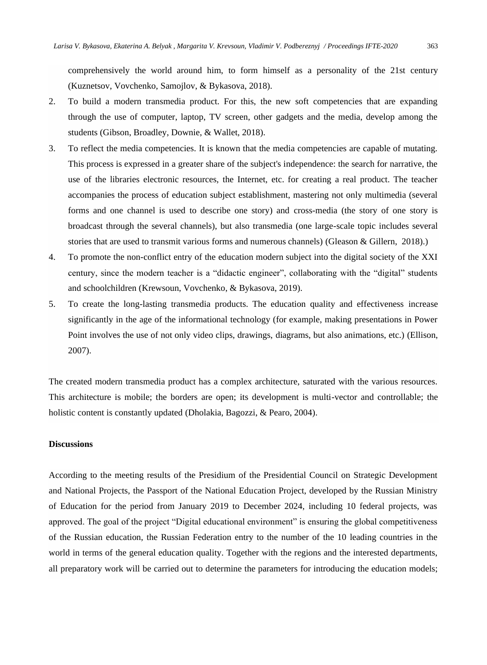comprehensively the world around him, to form himself as a personality of the 21st century (Kuznetsov, Vovchenko, Samojlov, & Bykasova, 2018).

- 2. To build a modern transmedia product. For this, the new soft competencies that are expanding through the use of computer, laptop, TV screen, other gadgets and the media, develop among the students (Gibson, Broadley, Downie, & Wallet, 2018).
- 3. To reflect the media competencies. It is known that the media competencies are capable of mutating. This process is expressed in a greater share of the subject's independence: the search for narrative, the use of the libraries electronic resources, the Internet, etc. for creating a real product. The teacher accompanies the process of education subject establishment, mastering not only multimedia (several forms and one channel is used to describe one story) and cross-media (the story of one story is broadcast through the several channels), but also transmedia (one large-scale topic includes several stories that are used to transmit various forms and numerous channels) (Gleason & Gillern, 2018).)
- 4. To promote the non-conflict entry of the education modern subject into the digital society of the XXI century, since the modern teacher is a "didactic engineer", collaborating with the "digital" students and schoolchildren (Krewsoun, Vovchenko, & Bykasova, 2019).
- 5. To create the long-lasting transmedia products. The education quality and effectiveness increase significantly in the age of the informational technology (for example, making presentations in Power Point involves the use of not only video clips, drawings, diagrams, but also animations, etc.) (Ellison, 2007).

The created modern transmedia product has a complex architecture, saturated with the various resources. This architecture is mobile; the borders are open; its development is multi-vector and controllable; the holistic content is constantly updated (Dholakia, Bagozzi, & Pearo, 2004).

#### **Discussions**

According to the meeting results of the Presidium of the Presidential Council on Strategic Development and National Projects, the Passport of the National Education Project, developed by the Russian Ministry of Education for the period from January 2019 to December 2024, including 10 federal projects, was approved. The goal of the project "Digital educational environment" is ensuring the global competitiveness of the Russian education, the Russian Federation entry to the number of the 10 leading countries in the world in terms of the general education quality. Together with the regions and the interested departments, all preparatory work will be carried out to determine the parameters for introducing the education models;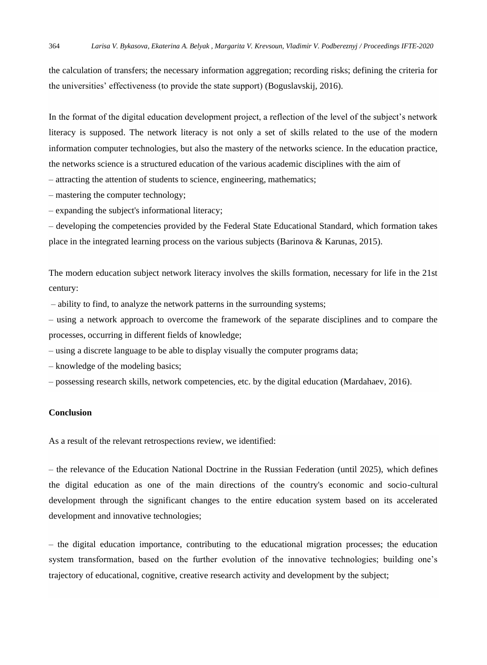the calculation of transfers; the necessary information aggregation; recording risks; defining the criteria for the universities' effectiveness (to provide the state support) (Boguslavskij, 2016).

In the format of the digital education development project, a reflection of the level of the subject's network literacy is supposed. The network literacy is not only a set of skills related to the use of the modern information computer technologies, but also the mastery of the networks science. In the education practice, the networks science is a structured education of the various academic disciplines with the aim of

– attracting the attention of students to science, engineering, mathematics;

– mastering the computer technology;

– expanding the subject's informational literacy;

– developing the competencies provided by the Federal State Educational Standard, which formation takes place in the integrated learning process on the various subjects (Barinova & Karunas, 2015).

The modern education subject network literacy involves the skills formation, necessary for life in the 21st century:

– ability to find, to analyze the network patterns in the surrounding systems;

– using a network approach to overcome the framework of the separate disciplines and to compare the processes, occurring in different fields of knowledge;

– using a discrete language to be able to display visually the computer programs data;

– knowledge of the modeling basics;

– possessing research skills, network competencies, etc. by the digital education (Mardahaev, 2016).

### **Conclusion**

As a result of the relevant retrospections review, we identified:

– the relevance of the Education National Doctrine in the Russian Federation (until 2025), which defines the digital education as one of the main directions of the country's economic and socio-cultural development through the significant changes to the entire education system based on its accelerated development and innovative technologies;

– the digital education importance, contributing to the educational migration processes; the education system transformation, based on the further evolution of the innovative technologies; building one's trajectory of educational, cognitive, creative research activity and development by the subject;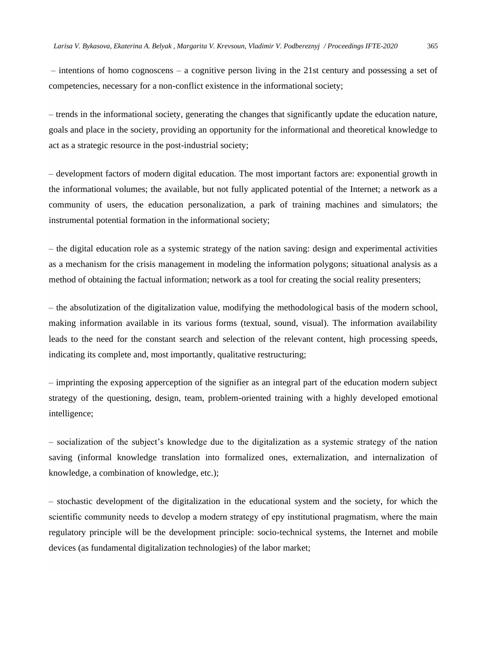– intentions of homo cognoscens – a cognitive person living in the 21st century and possessing a set of competencies, necessary for a non-conflict existence in the informational society;

– trends in the informational society, generating the changes that significantly update the education nature, goals and place in the society, providing an opportunity for the informational and theoretical knowledge to act as a strategic resource in the post-industrial society;

– development factors of modern digital education. The most important factors are: exponential growth in the informational volumes; the available, but not fully applicated potential of the Internet; a network as a community of users, the education personalization, a park of training machines and simulators; the instrumental potential formation in the informational society;

– the digital education role as a systemic strategy of the nation saving: design and experimental activities as a mechanism for the crisis management in modeling the information polygons; situational analysis as a method of obtaining the factual information; network as a tool for creating the social reality presenters;

– the absolutization of the digitalization value, modifying the methodological basis of the modern school, making information available in its various forms (textual, sound, visual). The information availability leads to the need for the constant search and selection of the relevant content, high processing speeds, indicating its complete and, most importantly, qualitative restructuring;

– imprinting the exposing apperception of the signifier as an integral part of the education modern subject strategy of the questioning, design, team, problem-oriented training with a highly developed emotional intelligence;

– socialization of the subject's knowledge due to the digitalization as a systemic strategy of the nation saving (informal knowledge translation into formalized ones, externalization, and internalization of knowledge, a combination of knowledge, etc.);

– stochastic development of the digitalization in the educational system and the society, for which the scientific community needs to develop a modern strategy of еру institutional pragmatism, where the main regulatory principle will be the development principle: socio-technical systems, the Internet and mobile devices (as fundamental digitalization technologies) of the labor market;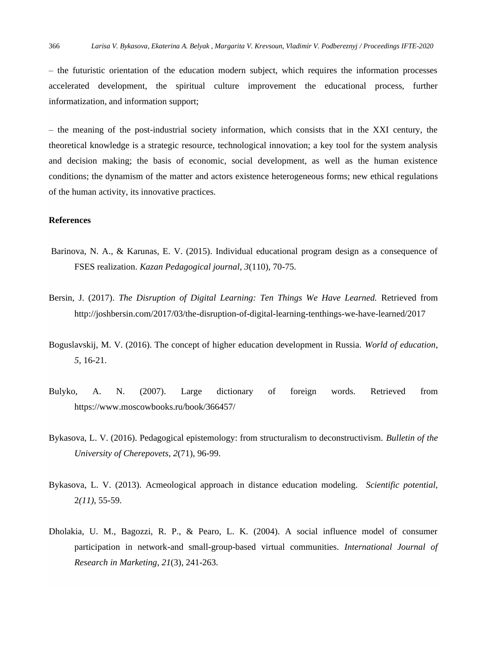– the futuristic orientation of the education modern subject, which requires the information processes accelerated development, the spiritual culture improvement the educational process, further informatization, and information support;

– the meaning of the post-industrial society information, which consists that in the XXI century, the theoretical knowledge is a strategic resource, technological innovation; a key tool for the system analysis and decision making; the basis of economic, social development, as well as the human existence conditions; the dynamism of the matter and actors existence heterogeneous forms; new ethical regulations of the human activity, its innovative practices.

#### **References**

- Barinova, N. A., & Karunas, E. V. (2015). Individual educational program design as a consequence of FSES realization. *Kazan Pedagogical journal*, *3*(110), 70-75.
- Bersin, J. (2017). *The Disruption of Digital Learning: Ten Things We Have Learned.* Retrieved from <http://joshbersin.com/2017/03/the-disruption-of-digital-learning-tenthings-we-have-learned/2017>
- Boguslavskij, M. V. (2016). The concept of higher education development in Russia. *World of education*, *5,* 16-21.
- Bulyko, A. N. (2007). Large dictionary of foreign words. Retrieved from <https://www.moscowbooks.ru/book/366457/>
- Bykasova, L. V. (2016). Pedagogical epistemology: from structuralism to deconstructivism. *Bulletin of the University of Cherepovets*, *2*(71), 96-99.
- Bykasova, L. V. (2013). Acmeological approach in distance education modeling. *Scientific potential,* 2*(11)*, 55-59.
- Dholakia, U. M., Bagozzi, R. P., & Pearo, L. K. (2004). A social influence model of consumer participation in network-and small-group-based virtual communities. *International Journal of Research in Marketing*, *21*(3), 241-263.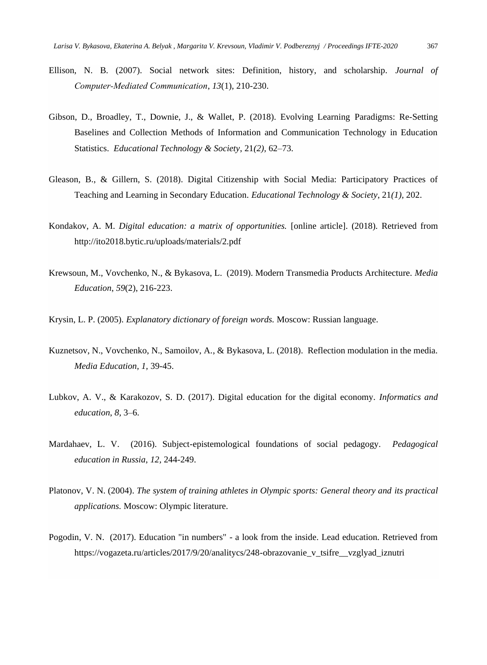- Ellison, N. B. (2007). Social network sites: Definition, history, and scholarship. *Journal of Computer‐Mediated Communication*, *13*(1), 210-230.
- Gibson, D., Broadley, T., Downie, J., & Wallet, P. (2018). Evolving Learning Paradigms: Re-Setting Baselines and Collection Methods of Information and Communication Technology in Education Statistics. *Educational Technology & Society*, 21*(2),* 62–73.
- Gleason, B., & Gillern, S. (2018). Digital Citizenship with Social Media: Participatory Practices of Teaching and Learning in Secondary Education. *Educational Technology & Society*, 21*(1),* 202.
- Kondakov, A. M. *Digital education: a matrix of opportunities.* [online article]. (2018). Retrieved from <http://ito2018.bytic.ru/uploads/materials/2.pdf>
- Krewsoun, M., Vovchenko, N., & Bykasova, L. (2019). Modern Transmedia Products Architecture. *Media Education*, *59*(2), 216-223.
- Krysin, L. P. (2005). *Explanatory dictionary of foreign words.* Moscow: Russian language.
- Kuznetsov, N., Vovchenko, N., Samoilov, A., & Bykasova, L. (2018). Reflection modulation in the media. *Media Education, 1,* 39-45.
- Lubkov, A. V., & Karakozov, S. D. (2017). Digital education for the digital economy. *Informatics and education*, *8,* 3–6.
- Mardahaev, L. V. (2016). Subject-epistemological foundations of social pedagogy. *Pedagogical education in Russia*, *12,* 244-249.
- Platonov, V. N. (2004). *The system of training athletes in Olympic sports: General theory and its practical applications.* Moscow: Olympic literature.
- Pogodin, V. N. (2017). Education "in numbers" a look from the inside. Lead education. Retrieved from [https://vogazeta.ru/articles/2017/9/20/analitycs/248-obrazovanie\\_v\\_tsifre\\_\\_vzglyad\\_iznutri](https://vogazeta.ru/articles/2017/9/20/analitycs/248-obrazovanie_v_tsifre__vzglyad_iznutri)